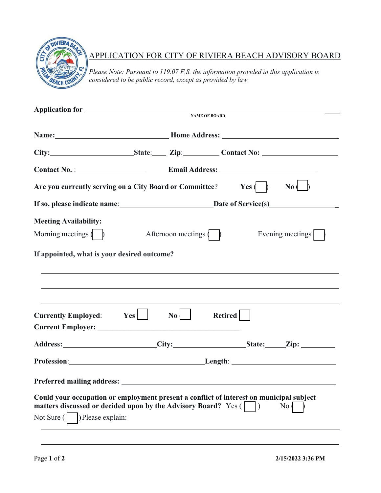

## APPLICATION FOR CITY OF RIVIERA BEACH ADVISORY BOARD

*Please Note: Pursuant to 119.07 F.S. the information provided in this application is considered to be public record, except as provided by law.*

|                                                                                                                                                                                                                                |                    | <b>NAME OF BOARD</b> |                        |
|--------------------------------------------------------------------------------------------------------------------------------------------------------------------------------------------------------------------------------|--------------------|----------------------|------------------------|
|                                                                                                                                                                                                                                |                    |                      |                        |
|                                                                                                                                                                                                                                |                    |                      |                        |
|                                                                                                                                                                                                                                |                    |                      |                        |
| Are you currently serving on a City Board or Committee? Yes $\langle \rangle$                                                                                                                                                  |                    |                      | $\mathbf{N}\mathbf{0}$ |
| If so, please indicate name: Date of Service(s)                                                                                                                                                                                |                    |                      |                        |
| <b>Meeting Availability:</b>                                                                                                                                                                                                   |                    |                      |                        |
| Morning meetings $($                                                                                                                                                                                                           | Afternoon meetings |                      | Evening meetings       |
| If appointed, what is your desired outcome?                                                                                                                                                                                    |                    |                      |                        |
| ,我们也不会有什么。""我们的人,我们也不会有什么?""我们的人,我们也不会有什么?""我们的人,我们也不会有什么?""我们的人,我们也不会有什么?""我们的人<br>Currently Employed: Yes                                                                                                                    | $\mathbf{No}$      | Retired              |                        |
| Address: City: City: State: Zip:                                                                                                                                                                                               |                    |                      |                        |
| Profession: Length: Length: Length: Length: Length: Length: Length: Length: Length: Length: Length: Length: Length: Length: Length: Length: Length: Length: Length: Length: Length: Length: Length: Length: Length: Length: Le |                    |                      |                        |
|                                                                                                                                                                                                                                |                    |                      |                        |
| Could your occupation or employment present a conflict of interest on municipal subject<br>matters discussed or decided upon by the Advisory Board? Yes (<br>) Please explain:<br>Not Sure (                                   |                    |                      | No <sub>1</sub>        |